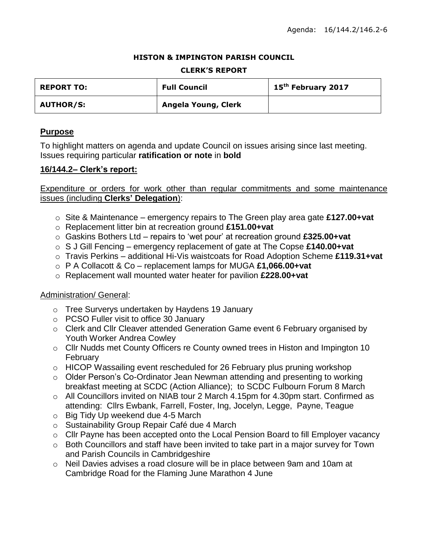#### **HISTON & IMPINGTON PARISH COUNCIL**

#### **CLERK'S REPORT**

| <b>REPORT TO:</b> | <b>Full Council</b> | 15 <sup>th</sup> February 2017 |
|-------------------|---------------------|--------------------------------|
| <b>AUTHOR/S:</b>  | Angela Young, Clerk |                                |

#### **Purpose**

To highlight matters on agenda and update Council on issues arising since last meeting. Issues requiring particular **ratification or note** in **bold**

#### **16/144.2– Clerk's report:**

Expenditure or orders for work other than regular commitments and some maintenance issues (including **Clerks' Delegation**):

- o Site & Maintenance emergency repairs to The Green play area gate **£127.00+vat**
- o Replacement litter bin at recreation ground **£151.00+vat**
- o Gaskins Bothers Ltd repairs to 'wet pour' at recreation ground **£325.00+vat**
- o S J Gill Fencing emergency replacement of gate at The Copse **£140.00+vat**
- o Travis Perkins additional Hi-Vis waistcoats for Road Adoption Scheme **£119.31+vat**
- o P A Collacott & Co replacement lamps for MUGA **£1,066.00+vat**
- o Replacement wall mounted water heater for pavilion **£228.00+vat**

#### Administration/ General:

- o Tree Surverys undertaken by Haydens 19 January
- o PCSO Fuller visit to office 30 January
- o Clerk and Cllr Cleaver attended Generation Game event 6 February organised by Youth Worker Andrea Cowley
- o Cllr Nudds met County Officers re County owned trees in Histon and Impington 10 February
- $\circ$  HICOP Wassailing event rescheduled for 26 February plus pruning workshop
- o Older Person's Co-Ordinator Jean Newman attending and presenting to working breakfast meeting at SCDC (Action Alliance); to SCDC Fulbourn Forum 8 March
- o All Councillors invited on NIAB tour 2 March 4.15pm for 4.30pm start. Confirmed as attending: Cllrs Ewbank, Farrell, Foster, Ing, Jocelyn, Legge, Payne, Teague
- o Big Tidy Up weekend due 4-5 March
- o Sustainability Group Repair Café due 4 March
- o Cllr Payne has been accepted onto the Local Pension Board to fill Employer vacancy
- o Both Councillors and staff have been invited to take part in a major survey for Town and Parish Councils in Cambridgeshire
- o Neil Davies advises a road closure will be in place between 9am and 10am at Cambridge Road for the Flaming June Marathon 4 June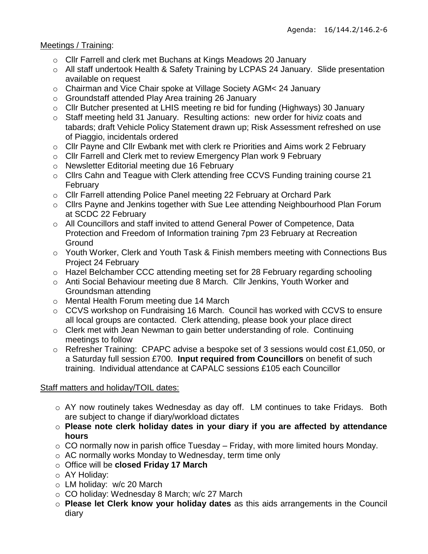## Meetings / Training:

- o Cllr Farrell and clerk met Buchans at Kings Meadows 20 January
- o All staff undertook Health & Safety Training by LCPAS 24 January. Slide presentation available on request
- o Chairman and Vice Chair spoke at Village Society AGM< 24 January
- o Groundstaff attended Play Area training 26 January
- o Cllr Butcher presented at LHIS meeting re bid for funding (Highways) 30 January
- o Staff meeting held 31 January. Resulting actions: new order for hiviz coats and tabards; draft Vehicle Policy Statement drawn up; Risk Assessment refreshed on use of Piaggio, incidentals ordered
- o Cllr Payne and Cllr Ewbank met with clerk re Priorities and Aims work 2 February
- o Cllr Farrell and Clerk met to review Emergency Plan work 9 February
- o Newsletter Editorial meeting due 16 February
- o Cllrs Cahn and Teague with Clerk attending free CCVS Funding training course 21 February
- o Cllr Farrell attending Police Panel meeting 22 February at Orchard Park
- o Cllrs Payne and Jenkins together with Sue Lee attending Neighbourhood Plan Forum at SCDC 22 February
- o All Councillors and staff invited to attend General Power of Competence, Data Protection and Freedom of Information training 7pm 23 February at Recreation **Ground**
- $\circ$  Youth Worker, Clerk and Youth Task & Finish members meeting with Connections Bus Project 24 February
- o Hazel Belchamber CCC attending meeting set for 28 February regarding schooling
- o Anti Social Behaviour meeting due 8 March. Cllr Jenkins, Youth Worker and Groundsman attending
- o Mental Health Forum meeting due 14 March
- o CCVS workshop on Fundraising 16 March. Council has worked with CCVS to ensure all local groups are contacted. Clerk attending, please book your place direct
- o Clerk met with Jean Newman to gain better understanding of role. Continuing meetings to follow
- $\circ$  Refresher Training: CPAPC advise a bespoke set of 3 sessions would cost £1,050, or a Saturday full session £700. **Input required from Councillors** on benefit of such training. Individual attendance at CAPALC sessions £105 each Councillor

# Staff matters and holiday/TOIL dates:

- o AY now routinely takes Wednesday as day off. LM continues to take Fridays. Both are subject to change if diary/workload dictates
- o **Please note clerk holiday dates in your diary if you are affected by attendance hours**
- $\circ$  CO normally now in parish office Tuesday Friday, with more limited hours Monday.
- o AC normally works Monday to Wednesday, term time only
- o Office will be **closed Friday 17 March**
- o AY Holiday:
- o LM holiday: w/c 20 March
- o CO holiday: Wednesday 8 March; w/c 27 March
- o **Please let Clerk know your holiday dates** as this aids arrangements in the Council diary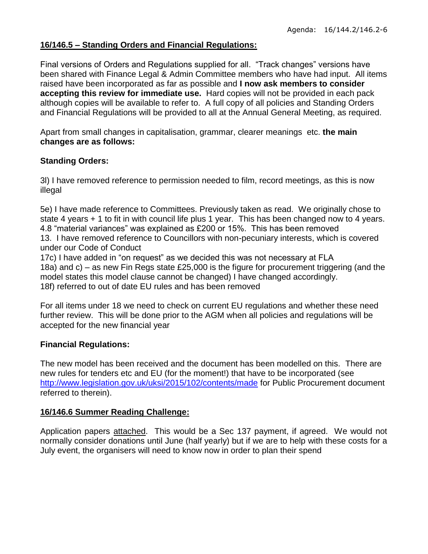## **16/146.5 – Standing Orders and Financial Regulations:**

Final versions of Orders and Regulations supplied for all. "Track changes" versions have been shared with Finance Legal & Admin Committee members who have had input. All items raised have been incorporated as far as possible and **I now ask members to consider accepting this review for immediate use.** Hard copies will not be provided in each pack although copies will be available to refer to. A full copy of all policies and Standing Orders and Financial Regulations will be provided to all at the Annual General Meeting, as required.

Apart from small changes in capitalisation, grammar, clearer meanings etc. **the main changes are as follows:**

## **Standing Orders:**

3l) I have removed reference to permission needed to film, record meetings, as this is now illegal

5e) I have made reference to Committees. Previously taken as read. We originally chose to state 4 years + 1 to fit in with council life plus 1 year. This has been changed now to 4 years. 4.8 "material variances" was explained as £200 or 15%. This has been removed 13. I have removed reference to Councillors with non-pecuniary interests, which is covered under our Code of Conduct

17c) I have added in "on request" as we decided this was not necessary at FLA 18a) and c) – as new Fin Regs state £25,000 is the figure for procurement triggering (and the model states this model clause cannot be changed) I have changed accordingly. 18f) referred to out of date EU rules and has been removed

For all items under 18 we need to check on current EU regulations and whether these need further review. This will be done prior to the AGM when all policies and regulations will be accepted for the new financial year

## **Financial Regulations:**

The new model has been received and the document has been modelled on this. There are new rules for tenders etc and EU (for the moment!) that have to be incorporated (see <http://www.legislation.gov.uk/uksi/2015/102/contents/made> for Public Procurement document referred to therein).

## **16/146.6 Summer Reading Challenge:**

Application papers attached. This would be a Sec 137 payment, if agreed. We would not normally consider donations until June (half yearly) but if we are to help with these costs for a July event, the organisers will need to know now in order to plan their spend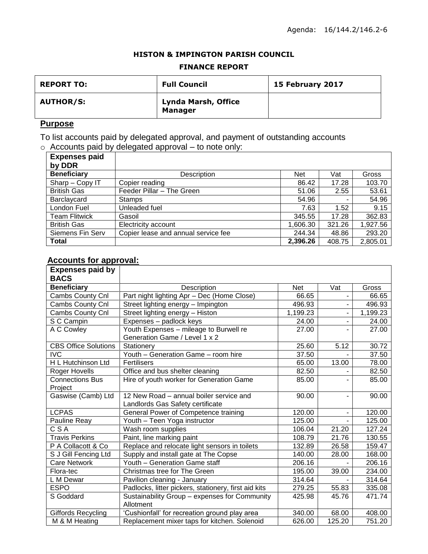#### **HISTON & IMPINGTON PARISH COUNCIL**

#### **FINANCE REPORT**

| <b>REPORT TO:</b> | <b>Full Council</b>                          | 15 February 2017 |
|-------------------|----------------------------------------------|------------------|
| <b>AUTHOR/S:</b>  | <b>Lynda Marsh, Office</b><br><b>Manager</b> |                  |

## **Purpose**

To list accounts paid by delegated approval, and payment of outstanding accounts  $\circ$  Accounts paid by delegated approval – to note only:

| $\sim$<br>adiogatoa approvar |                                     |            |        |          |
|------------------------------|-------------------------------------|------------|--------|----------|
| <b>Expenses paid</b>         |                                     |            |        |          |
| by DDR                       |                                     |            |        |          |
| <b>Beneficiary</b>           | Description                         | <b>Net</b> | Vat    | Gross    |
| $Sharp - Copy IT$            | Copier reading                      | 86.42      | 17.28  | 103.70   |
| <b>British Gas</b>           | Feeder Pillar - The Green           | 51.06      | 2.55   | 53.61    |
| <b>Barclaycard</b>           | <b>Stamps</b>                       | 54.96      |        | 54.96    |
| London Fuel                  | Unleaded fuel                       | 7.63       | 1.52   | 9.15     |
| <b>Team Flitwick</b>         | Gasoil                              | 345.55     | 17.28  | 362.83   |
| <b>British Gas</b>           | Electricity account                 | 1.606.30   | 321.26 | 1,927.56 |
| Siemens Fin Serv             | Copier lease and annual service fee | 244.34     | 48.86  | 293.20   |
| <b>Total</b>                 |                                     | 2,396.26   | 408.75 | 2.805.01 |

# **Accounts for approval:**

| <b>Expenses paid by</b>     |                                                      |            |        |          |
|-----------------------------|------------------------------------------------------|------------|--------|----------|
| <b>BACS</b>                 |                                                      |            |        |          |
| <b>Beneficiary</b>          | Description                                          | <b>Net</b> | Vat    | Gross    |
| Cambs County Cnl            | Part night lighting Apr - Dec (Home Close)           | 66.65      |        | 66.65    |
| Cambs County Cnl            | Street lighting energy - Impington                   | 496.93     |        | 496.93   |
| Cambs County Cnl            | Street lighting energy - Histon                      | 1,199.23   |        | 1,199.23 |
| S C Campin                  | Expenses - padlock keys                              | 24.00      |        | 24.00    |
| A C Cowley                  | Youth Expenses - mileage to Burwell re               | 27.00      |        | 27.00    |
|                             | Generation Game / Level 1 x 2                        |            |        |          |
| <b>CBS Office Solutions</b> | Stationery                                           | 25.60      | 5.12   | 30.72    |
| <b>IVC</b>                  | Youth - Generation Game - room hire                  | 37.50      |        | 37.50    |
| H L Hutchinson Ltd          | Fertilisers                                          | 65.00      | 13.00  | 78.00    |
| Roger Hovells               | Office and bus shelter cleaning                      | 82.50      |        | 82.50    |
| <b>Connections Bus</b>      | Hire of youth worker for Generation Game             | 85.00      |        | 85.00    |
| Project                     |                                                      |            |        |          |
| Gaswise (Camb) Ltd          | 12 New Road - annual boiler service and              | 90.00      |        | 90.00    |
|                             | Landlords Gas Safety certificate                     |            |        |          |
| <b>LCPAS</b>                | General Power of Competence training                 | 120.00     | -      | 120.00   |
| Pauline Reay                | Youth - Teen Yoga instructor                         | 125.00     |        | 125.00   |
| CSA                         | Wash room supplies                                   | 106.04     | 21.20  | 127.24   |
| <b>Travis Perkins</b>       | Paint, line marking paint                            | 108.79     | 21.76  | 130.55   |
| P A Collacott & Co          | Replace and relocate light sensors in toilets        | 132.89     | 26.58  | 159.47   |
| S J Gill Fencing Ltd        | Supply and install gate at The Copse                 | 140.00     | 28.00  | 168.00   |
| <b>Care Network</b>         | Youth - Generation Game staff                        | 206.16     |        | 206.16   |
| Flora-tec                   | Christmas tree for The Green                         | 195.00     | 39.00  | 234.00   |
| L M Dewar                   | Pavilion cleaning - January                          | 314.64     |        | 314.64   |
| <b>ESPO</b>                 | Padlocks, litter pickers, stationery, first aid kits | 279.25     | 55.83  | 335.08   |
| S Goddard                   | Sustainability Group - expenses for Community        | 425.98     | 45.76  | 471.74   |
|                             | Allotment                                            |            |        |          |
| <b>Giffords Recycling</b>   | 'Cushionfall' for recreation ground play area        | 340.00     | 68.00  | 408.00   |
| M & M Heating               | Replacement mixer taps for kitchen. Solenoid         | 626.00     | 125.20 | 751.20   |